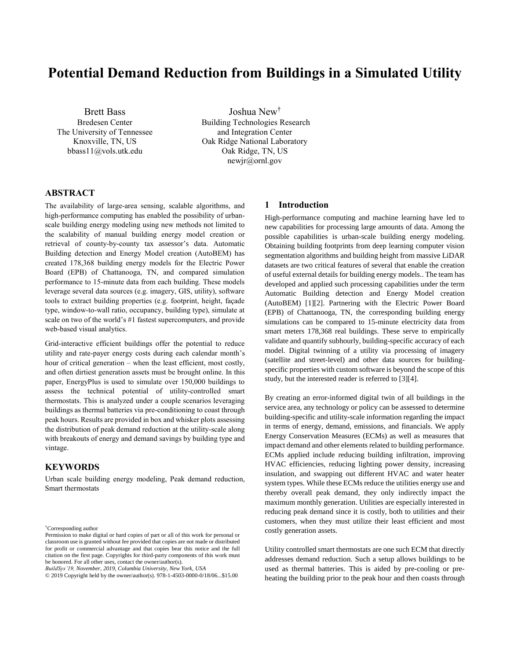# **Potential Demand Reduction from Buildings in a Simulated Utility**

Brett Bass Bredesen Center The University of Tennessee Knoxville, TN, US bbass11@vols.utk.edu

Joshua New† Building Technologies Research and Integration Center Oak Ridge National Laboratory

> Oak Ridge, TN, US newjr@ornl.gov

# **ABSTRACT**

The availability of large-area sensing, scalable algorithms, and high-performance computing has enabled the possibility of urbanscale building energy modeling using new methods not limited to the scalability of manual building energy model creation or retrieval of county-by-county tax assessor's data. Automatic Building detection and Energy Model creation (AutoBEM) has created 178,368 building energy models for the Electric Power Board (EPB) of Chattanooga, TN, and compared simulation performance to 15-minute data from each building. These models leverage several data sources (e.g. imagery, GIS, utility), software tools to extract building properties (e.g. footprint, height, façade type, window-to-wall ratio, occupancy, building type), simulate at scale on two of the world's #1 fastest supercomputers, and provide web-based visual analytics.

Grid-interactive efficient buildings offer the potential to reduce utility and rate-payer energy costs during each calendar month's hour of critical generation – when the least efficient, most costly, and often dirtiest generation assets must be brought online. In this paper, EnergyPlus is used to simulate over 150,000 buildings to assess the technical potential of utility-controlled smart thermostats. This is analyzed under a couple scenarios leveraging buildings as thermal batteries via pre-conditioning to coast through peak hours. Results are provided in box and whisker plots assessing the distribution of peak demand reduction at the utility-scale along with breakouts of energy and demand savings by building type and vintage.

# **KEYWORDS**

Urban scale building energy modeling, Peak demand reduction, Smart thermostats

†Corresponding author

*BuildSys'19, November, 2019, Columbia University, New York, USA*

### **1 Introduction**

High-performance computing and machine learning have led to new capabilities for processing large amounts of data. Among the possible capabilities is urban-scale building energy modeling. Obtaining building footprints from deep learning computer vision segmentation algorithms and building height from massive LiDAR datasets are two critical features of several that enable the creation of useful external details for building energy models.. The team has developed and applied such processing capabilities under the term Automatic Building detection and Energy Model creation (AutoBEM) [\[1\]\[2\].](#page-4-0) Partnering with the Electric Power Board (EPB) of Chattanooga, TN, the corresponding building energy simulations can be compared to 15-minute electricity data from smart meters 178,368 real buildings. These serve to empirically validate and quantify subhourly, building-specific accuracy of each model. Digital twinning of a utility via processing of imagery (satellite and street-level) and other data sources for buildingspecific properties with custom software is beyond the scope of this study, but the interested reader is referred t[o \[3\]\[4\].](#page-4-1)

By creating an error-informed digital twin of all buildings in the service area, any technology or policy can be assessed to determine building-specific and utility-scale information regarding the impact in terms of energy, demand, emissions, and financials. We apply Energy Conservation Measures (ECMs) as well as measures that impact demand and other elements related to building performance. ECMs applied include reducing building infiltration, improving HVAC efficiencies, reducing lighting power density, increasing insulation, and swapping out different HVAC and water heater system types. While these ECMs reduce the utilities energy use and thereby overall peak demand, they only indirectly impact the maximum monthly generation. Utilities are especially interested in reducing peak demand since it is costly, both to utilities and their customers, when they must utilize their least efficient and most costly generation assets.

Utility controlled smart thermostats are one such ECM that directly addresses demand reduction. Such a setup allows buildings to be used as thermal batteries. This is aided by pre-cooling or preheating the building prior to the peak hour and then coasts through

Permission to make digital or hard copies of part or all of this work for personal or classroom use is granted without fee provided that copies are not made or distributed for profit or commercial advantage and that copies bear this notice and the full citation on the first page. Copyrights for third-party components of this work must be honored. For all other uses, contact the owner/author(s).

<sup>© 2019</sup> Copyright held by the owner/author(s). 978-1-4503-0000-0/18/06...\$15.00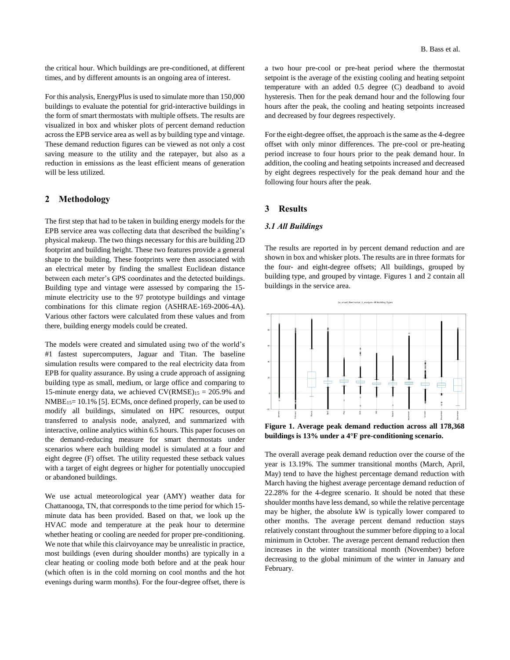the critical hour. Which buildings are pre-conditioned, at different times, and by different amounts is an ongoing area of interest.

For this analysis, EnergyPlus is used to simulate more than 150,000 buildings to evaluate the potential for grid-interactive buildings in the form of smart thermostats with multiple offsets. The results are visualized in box and whisker plots of percent demand reduction across the EPB service area as well as by building type and vintage. These demand reduction figures can be viewed as not only a cost saving measure to the utility and the ratepayer, but also as a reduction in emissions as the least efficient means of generation will be less utilized.

## **2 Methodology**

The first step that had to be taken in building energy models for the EPB service area was collecting data that described the building's physical makeup. The two things necessary for this are building 2D footprint and building height. These two features provide a general shape to the building. These footprints were then associated with an electrical meter by finding the smallest Euclidean distance between each meter's GPS coordinates and the detected buildings. Building type and vintage were assessed by comparing the 15 minute electricity use to the 97 prototype buildings and vintage combinations for this climate region (ASHRAE-169-2006-4A). Various other factors were calculated from these values and from there, building energy models could be created.

The models were created and simulated using two of the world's #1 fastest supercomputers, Jaguar and Titan. The baseline simulation results were compared to the real electricity data from EPB for quality assurance. By using a crude approach of assigning building type as small, medium, or large office and comparing to 15-minute energy data, we achieved  $CV(RMSE)_{15} = 205.9\%$  and  $NMBE<sub>15</sub>= 10.1\%$  [\[5\].](#page-4-2) ECMs, once defined properly, can be used to modify all buildings, simulated on HPC resources, output transferred to analysis node, analyzed, and summarized with interactive, online analytics within 6.5 hours. This paper focuses on the demand-reducing measure for smart thermostats under scenarios where each building model is simulated at a four and eight degree (F) offset. The utility requested these setback values with a target of eight degrees or higher for potentially unoccupied or abandoned buildings.

We use actual meteorological year (AMY) weather data for Chattanooga, TN, that corresponds to the time period for which 15 minute data has been provided. Based on that, we look up the HVAC mode and temperature at the peak hour to determine whether heating or cooling are needed for proper pre-conditioning. We note that while this clairvoyance may be unrealistic in practice, most buildings (even during shoulder months) are typically in a clear heating or cooling mode both before and at the peak hour (which often is in the cold morning on cool months and the hot evenings during warm months). For the four-degree offset, there is

a two hour pre-cool or pre-heat period where the thermostat setpoint is the average of the existing cooling and heating setpoint temperature with an added 0.5 degree (C) deadband to avoid hysteresis. Then for the peak demand hour and the following four hours after the peak, the cooling and heating setpoints increased and decreased by four degrees respectively.

For the eight-degree offset, the approach is the same as the 4-degree offset with only minor differences. The pre-cool or pre-heating period increase to four hours prior to the peak demand hour. In addition, the cooling and heating setpoints increased and decreased by eight degrees respectively for the peak demand hour and the following four hours after the peak.

#### **3 Results**

#### *3.1 All Buildings*

The results are reported in by percent demand reduction and are shown in box and whisker plots. The results are in three formats for the four- and eight-degree offsets; All buildings, grouped by building type, and grouped by vintage. Figures 1 and 2 contain all buildings in the service area.



**buildings is 13% under a 4°F pre-conditioning scenario.**

The overall average peak demand reduction over the course of the year is 13.19%. The summer transitional months (March, April, May) tend to have the highest percentage demand reduction with March having the highest average percentage demand reduction of 22.28% for the 4-degree scenario. It should be noted that these shoulder months have less demand, so while the relative percentage may be higher, the absolute kW is typically lower compared to other months. The average percent demand reduction stays relatively constant throughout the summer before dipping to a local minimum in October. The average percent demand reduction then increases in the winter transitional month (November) before decreasing to the global minimum of the winter in January and February.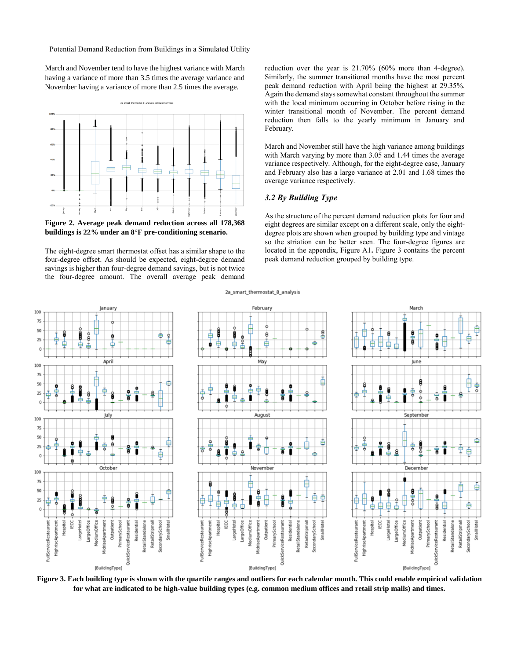Potential Demand Reduction from Buildings in a Simulated Utility

March and November tend to have the highest variance with March having a variance of more than 3.5 times the average variance and November having a variance of more than 2.5 times the average.



**Figure 2. Average peak demand reduction across all 178,368 buildings is 22% under an 8°F pre-conditioning scenario.**

The eight-degree smart thermostat offset has a similar shape to the four-degree offset. As should be expected, eight-degree demand savings is higher than four-degree demand savings, but is not twice the four-degree amount. The overall average peak demand

reduction over the year is 21.70% (60% more than 4-degree). Similarly, the summer transitional months have the most percent peak demand reduction with April being the highest at 29.35%. Again the demand stays somewhat constant throughout the summer with the local minimum occurring in October before rising in the winter transitional month of November. The percent demand reduction then falls to the yearly minimum in January and February.

March and November still have the high variance among buildings with March varying by more than 3.05 and 1.44 times the average variance respectively. Although, for the eight-degree case, January and February also has a large variance at 2.01 and 1.68 times the average variance respectively.

# *3.2 By Building Type*

As the structure of the percent demand reduction plots for four and eight degrees are similar except on a different scale, only the eightdegree plots are shown when grouped by building type and vintage so the striation can be better seen. The four-degree figures are located in the appendix, Figure A1**.** Figure 3 contains the percent peak demand reduction grouped by building type.



2a smart thermostat 8 analysis

**Figure 3. Each building type is shown with the quartile ranges and outliers for each calendar month. This could enable empirical validation for what are indicated to be high-value building types (e.g. common medium offices and retail strip malls) and times.**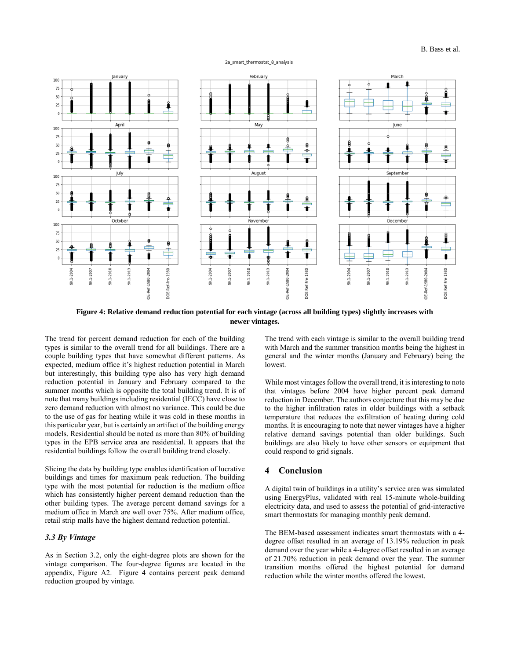#### 2a\_smart\_thermostat\_8\_analysis



**Figure 4: Relative demand reduction potential for each vintage (across all building types) slightly increases with newer vintages.** 

The trend for percent demand reduction for each of the building types is similar to the overall trend for all buildings. There are a couple building types that have somewhat different patterns. As expected, medium office it's highest reduction potential in March but interestingly, this building type also has very high demand reduction potential in January and February compared to the summer months which is opposite the total building trend. It is of note that many buildings including residential (IECC) have close to zero demand reduction with almost no variance. This could be due to the use of gas for heating while it was cold in these months in this particular year, but is certainly an artifact of the building energy models. Residential should be noted as more than 80% of building types in the EPB service area are residential. It appears that the residential buildings follow the overall building trend closely.

Slicing the data by building type enables identification of lucrative buildings and times for maximum peak reduction. The building type with the most potential for reduction is the medium office which has consistently higher percent demand reduction than the other building types. The average percent demand savings for a medium office in March are well over 75%. After medium office, retail strip malls have the highest demand reduction potential.

# *3.3 By Vintage*

As in Section 3.2, only the eight-degree plots are shown for the vintage comparison. The four-degree figures are located in the appendix, Figure A2. Figure 4 contains percent peak demand reduction grouped by vintage.

The trend with each vintage is similar to the overall building trend with March and the summer transition months being the highest in general and the winter months (January and February) being the lowest.

While most vintages follow the overall trend, it is interesting to note that vintages before 2004 have higher percent peak demand reduction in December. The authors conjecture that this may be due to the higher infiltration rates in older buildings with a setback temperature that reduces the exfiltration of heating during cold months. It is encouraging to note that newer vintages have a higher relative demand savings potential than older buildings. Such buildings are also likely to have other sensors or equipment that could respond to grid signals.

### **4 Conclusion**

A digital twin of buildings in a utility's service area was simulated using EnergyPlus, validated with real 15-minute whole-building electricity data, and used to assess the potential of grid-interactive smart thermostats for managing monthly peak demand.

The BEM-based assessment indicates smart thermostats with a 4 degree offset resulted in an average of 13.19% reduction in peak demand over the year while a 4-degree offset resulted in an average of 21.70% reduction in peak demand over the year. The summer transition months offered the highest potential for demand reduction while the winter months offered the lowest.